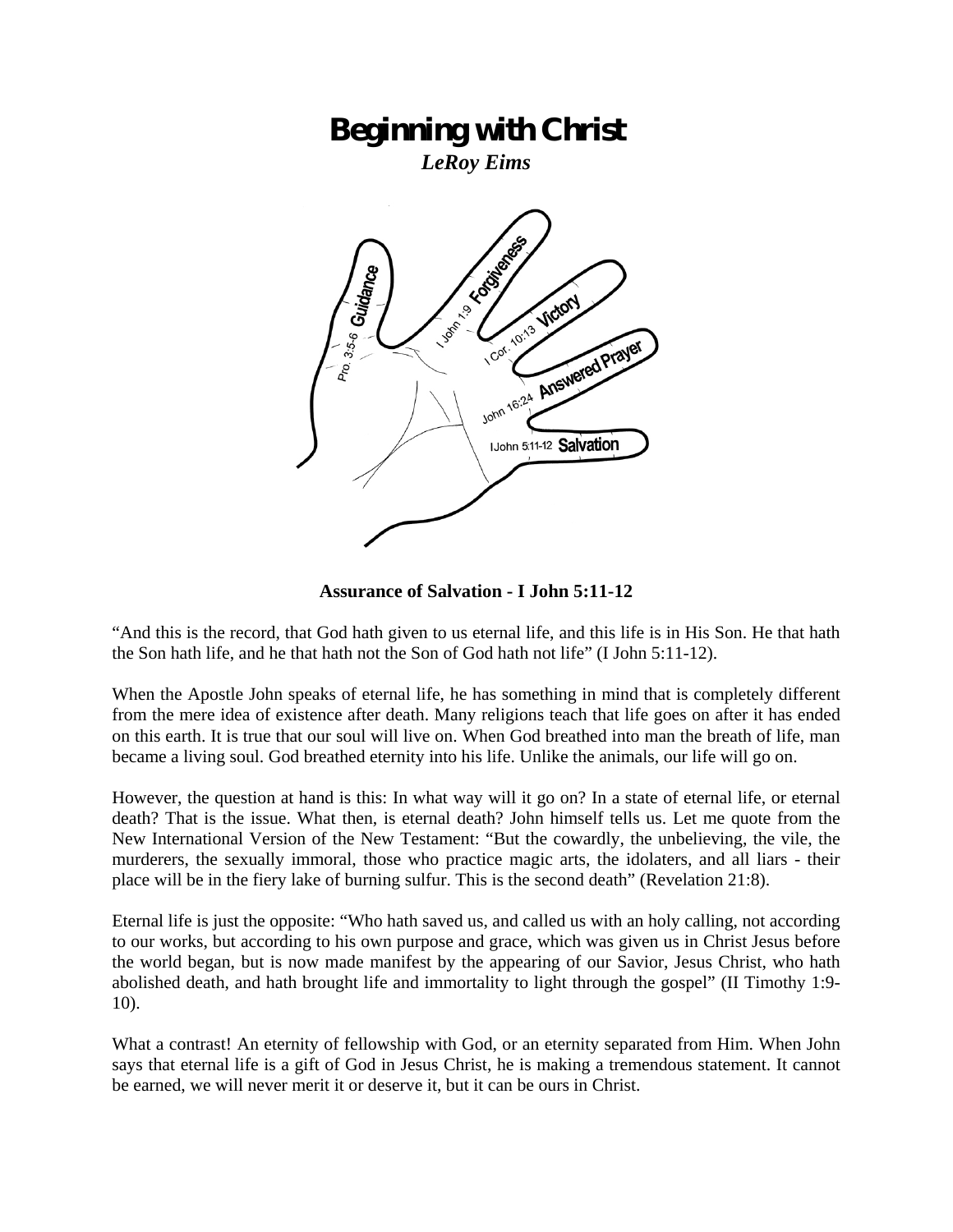# **Beginning with Christ**

*LeRoy Eims* 



**Assurance of Salvation - I John 5:11-12** 

"And this is the record, that God hath given to us eternal life, and this life is in His Son. He that hath the Son hath life, and he that hath not the Son of God hath not life" (I John 5:11-12).

When the Apostle John speaks of eternal life, he has something in mind that is completely different from the mere idea of existence after death. Many religions teach that life goes on after it has ended on this earth. It is true that our soul will live on. When God breathed into man the breath of life, man became a living soul. God breathed eternity into his life. Unlike the animals, our life will go on.

However, the question at hand is this: In what way will it go on? In a state of eternal life, or eternal death? That is the issue. What then, is eternal death? John himself tells us. Let me quote from the New International Version of the New Testament: "But the cowardly, the unbelieving, the vile, the murderers, the sexually immoral, those who practice magic arts, the idolaters, and all liars - their place will be in the fiery lake of burning sulfur. This is the second death" (Revelation 21:8).

Eternal life is just the opposite: "Who hath saved us, and called us with an holy calling, not according to our works, but according to his own purpose and grace, which was given us in Christ Jesus before the world began, but is now made manifest by the appearing of our Savior, Jesus Christ, who hath abolished death, and hath brought life and immortality to light through the gospel" (II Timothy 1:9- 10).

What a contrast! An eternity of fellowship with God, or an eternity separated from Him. When John says that eternal life is a gift of God in Jesus Christ, he is making a tremendous statement. It cannot be earned, we will never merit it or deserve it, but it can be ours in Christ.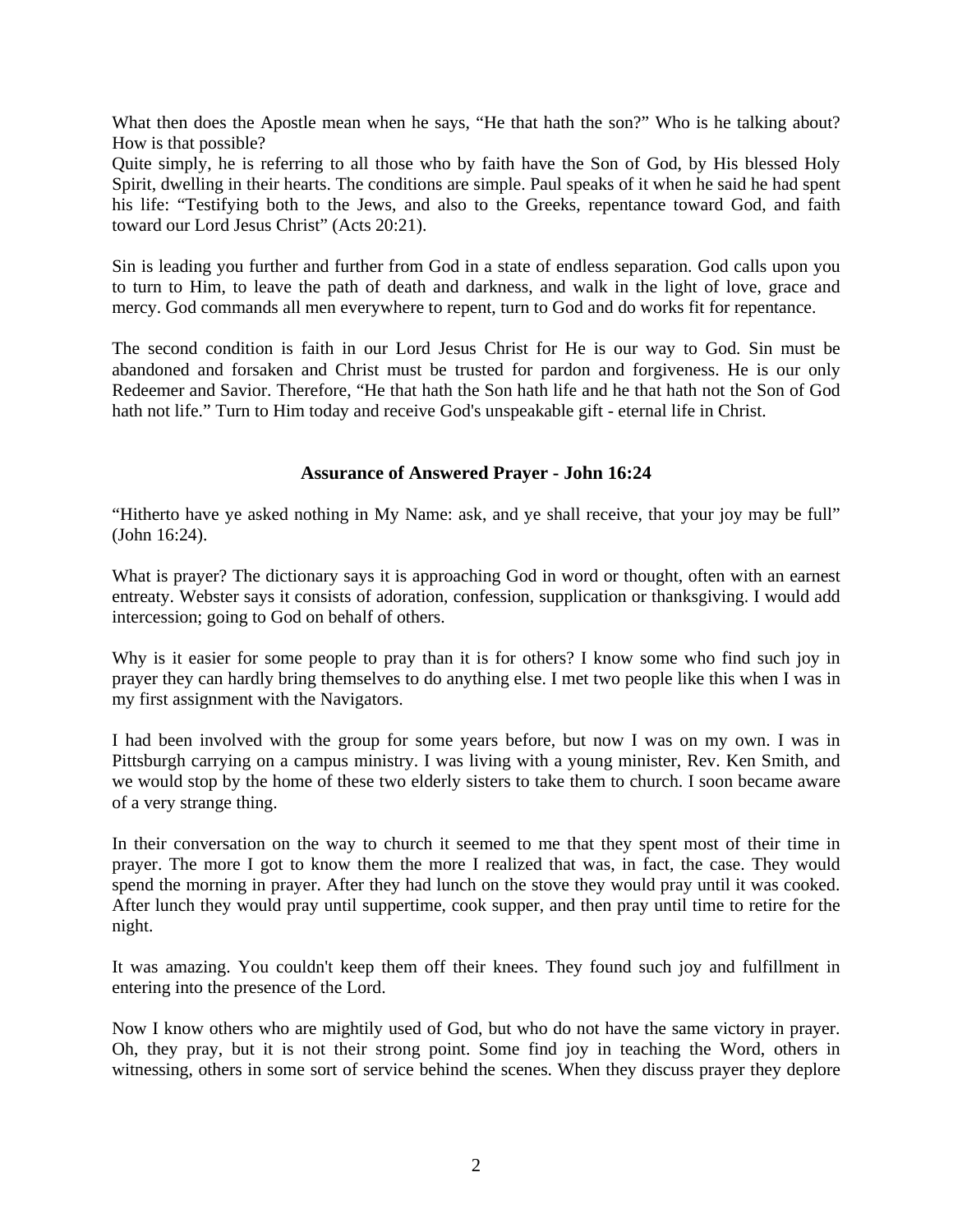What then does the Apostle mean when he says, "He that hath the son?" Who is he talking about? How is that possible?

Quite simply, he is referring to all those who by faith have the Son of God, by His blessed Holy Spirit, dwelling in their hearts. The conditions are simple. Paul speaks of it when he said he had spent his life: "Testifying both to the Jews, and also to the Greeks, repentance toward God, and faith toward our Lord Jesus Christ" (Acts 20:21).

Sin is leading you further and further from God in a state of endless separation. God calls upon you to turn to Him, to leave the path of death and darkness, and walk in the light of love, grace and mercy. God commands all men everywhere to repent, turn to God and do works fit for repentance.

The second condition is faith in our Lord Jesus Christ for He is our way to God. Sin must be abandoned and forsaken and Christ must be trusted for pardon and forgiveness. He is our only Redeemer and Savior. Therefore, "He that hath the Son hath life and he that hath not the Son of God hath not life." Turn to Him today and receive God's unspeakable gift - eternal life in Christ.

## **Assurance of Answered Prayer - John 16:24**

"Hitherto have ye asked nothing in My Name: ask, and ye shall receive, that your joy may be full" (John 16:24).

What is prayer? The dictionary says it is approaching God in word or thought, often with an earnest entreaty. Webster says it consists of adoration, confession, supplication or thanksgiving. I would add intercession; going to God on behalf of others.

Why is it easier for some people to pray than it is for others? I know some who find such joy in prayer they can hardly bring themselves to do anything else. I met two people like this when I was in my first assignment with the Navigators.

I had been involved with the group for some years before, but now I was on my own. I was in Pittsburgh carrying on a campus ministry. I was living with a young minister, Rev. Ken Smith, and we would stop by the home of these two elderly sisters to take them to church. I soon became aware of a very strange thing.

In their conversation on the way to church it seemed to me that they spent most of their time in prayer. The more I got to know them the more I realized that was, in fact, the case. They would spend the morning in prayer. After they had lunch on the stove they would pray until it was cooked. After lunch they would pray until suppertime, cook supper, and then pray until time to retire for the night.

It was amazing. You couldn't keep them off their knees. They found such joy and fulfillment in entering into the presence of the Lord.

Now I know others who are mightily used of God, but who do not have the same victory in prayer. Oh, they pray, but it is not their strong point. Some find joy in teaching the Word, others in witnessing, others in some sort of service behind the scenes. When they discuss prayer they deplore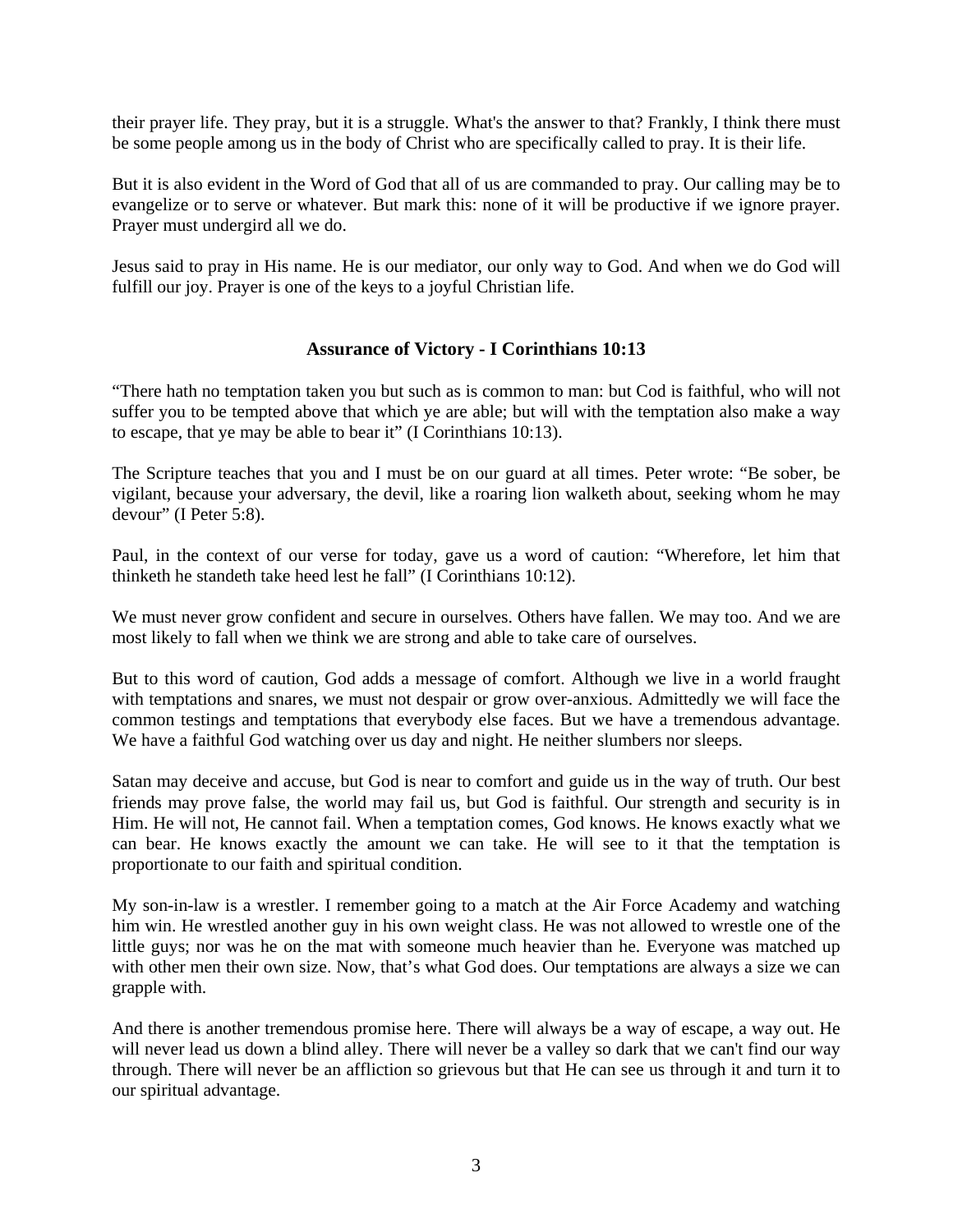their prayer life. They pray, but it is a struggle. What's the answer to that? Frankly, I think there must be some people among us in the body of Christ who are specifically called to pray. It is their life.

But it is also evident in the Word of God that all of us are commanded to pray. Our calling may be to evangelize or to serve or whatever. But mark this: none of it will be productive if we ignore prayer. Prayer must undergird all we do.

Jesus said to pray in His name. He is our mediator, our only way to God. And when we do God will fulfill our joy. Prayer is one of the keys to a joyful Christian life.

## **Assurance of Victory - I Corinthians 10:13**

"There hath no temptation taken you but such as is common to man: but Cod is faithful, who will not suffer you to be tempted above that which ye are able; but will with the temptation also make a way to escape, that ye may be able to bear it" (I Corinthians 10:13).

The Scripture teaches that you and I must be on our guard at all times. Peter wrote: "Be sober, be vigilant, because your adversary, the devil, like a roaring lion walketh about, seeking whom he may devour" (I Peter 5:8).

Paul, in the context of our verse for today, gave us a word of caution: "Wherefore, let him that thinketh he standeth take heed lest he fall" (I Corinthians 10:12).

We must never grow confident and secure in ourselves. Others have fallen. We may too. And we are most likely to fall when we think we are strong and able to take care of ourselves.

But to this word of caution, God adds a message of comfort. Although we live in a world fraught with temptations and snares, we must not despair or grow over-anxious. Admittedly we will face the common testings and temptations that everybody else faces. But we have a tremendous advantage. We have a faithful God watching over us day and night. He neither slumbers nor sleeps.

Satan may deceive and accuse, but God is near to comfort and guide us in the way of truth. Our best friends may prove false, the world may fail us, but God is faithful. Our strength and security is in Him. He will not, He cannot fail. When a temptation comes, God knows. He knows exactly what we can bear. He knows exactly the amount we can take. He will see to it that the temptation is proportionate to our faith and spiritual condition.

My son-in-law is a wrestler. I remember going to a match at the Air Force Academy and watching him win. He wrestled another guy in his own weight class. He was not allowed to wrestle one of the little guys; nor was he on the mat with someone much heavier than he. Everyone was matched up with other men their own size. Now, that's what God does. Our temptations are always a size we can grapple with.

And there is another tremendous promise here. There will always be a way of escape, a way out. He will never lead us down a blind alley. There will never be a valley so dark that we can't find our way through. There will never be an affliction so grievous but that He can see us through it and turn it to our spiritual advantage.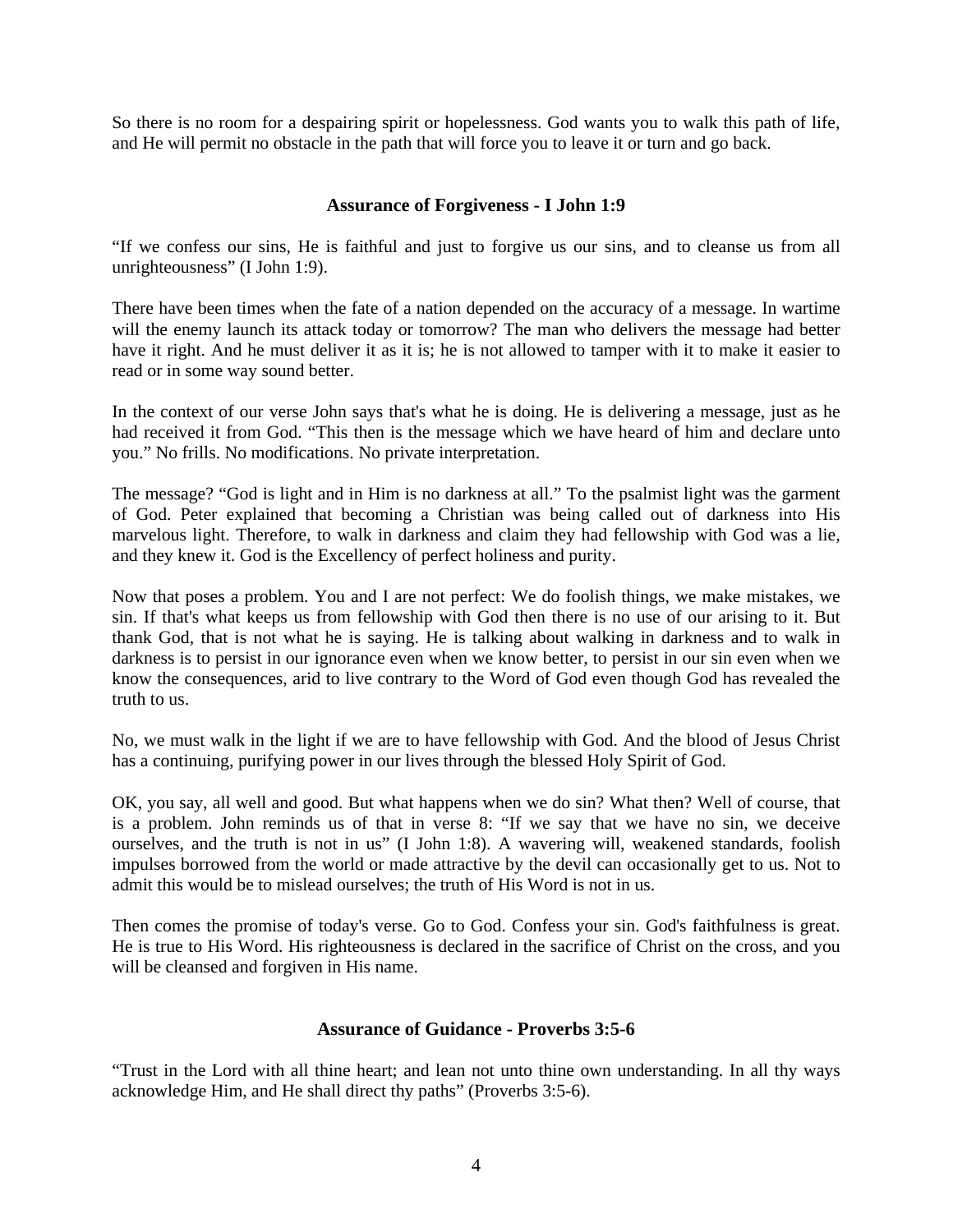So there is no room for a despairing spirit or hopelessness. God wants you to walk this path of life, and He will permit no obstacle in the path that will force you to leave it or turn and go back.

## **Assurance of Forgiveness - I John 1:9**

"If we confess our sins, He is faithful and just to forgive us our sins, and to cleanse us from all unrighteousness" (I John 1:9).

There have been times when the fate of a nation depended on the accuracy of a message. In wartime will the enemy launch its attack today or tomorrow? The man who delivers the message had better have it right. And he must deliver it as it is; he is not allowed to tamper with it to make it easier to read or in some way sound better.

In the context of our verse John says that's what he is doing. He is delivering a message, just as he had received it from God. "This then is the message which we have heard of him and declare unto you." No frills. No modifications. No private interpretation.

The message? "God is light and in Him is no darkness at all." To the psalmist light was the garment of God. Peter explained that becoming a Christian was being called out of darkness into His marvelous light. Therefore, to walk in darkness and claim they had fellowship with God was a lie, and they knew it. God is the Excellency of perfect holiness and purity.

Now that poses a problem. You and I are not perfect: We do foolish things, we make mistakes, we sin. If that's what keeps us from fellowship with God then there is no use of our arising to it. But thank God, that is not what he is saying. He is talking about walking in darkness and to walk in darkness is to persist in our ignorance even when we know better, to persist in our sin even when we know the consequences, arid to live contrary to the Word of God even though God has revealed the truth to us.

No, we must walk in the light if we are to have fellowship with God. And the blood of Jesus Christ has a continuing, purifying power in our lives through the blessed Holy Spirit of God.

OK, you say, all well and good. But what happens when we do sin? What then? Well of course, that is a problem. John reminds us of that in verse 8: "If we say that we have no sin, we deceive ourselves, and the truth is not in us" (I John 1:8). A wavering will, weakened standards, foolish impulses borrowed from the world or made attractive by the devil can occasionally get to us. Not to admit this would be to mislead ourselves; the truth of His Word is not in us.

Then comes the promise of today's verse. Go to God. Confess your sin. God's faithfulness is great. He is true to His Word. His righteousness is declared in the sacrifice of Christ on the cross, and you will be cleansed and forgiven in His name.

### **Assurance of Guidance - Proverbs 3:5-6**

"Trust in the Lord with all thine heart; and lean not unto thine own understanding. In all thy ways acknowledge Him, and He shall direct thy paths" (Proverbs 3:5-6).